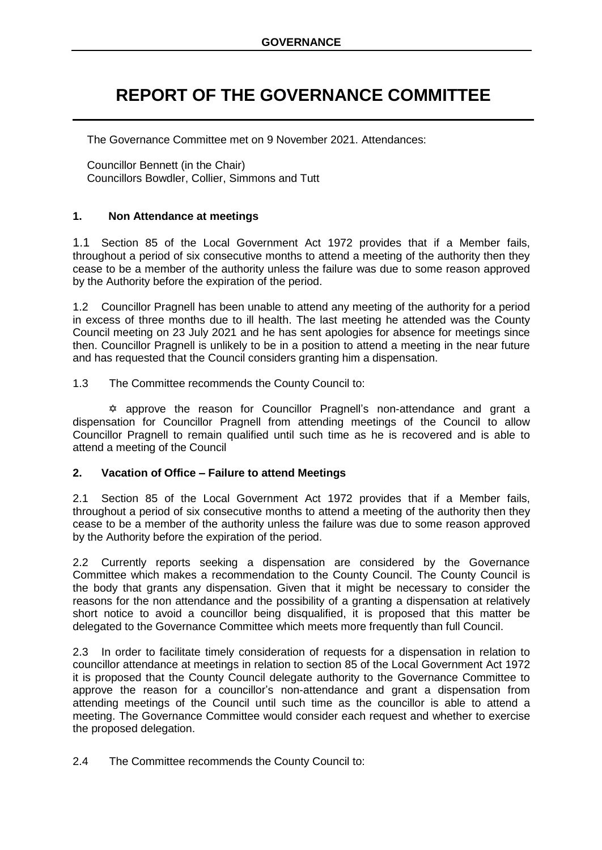## **REPORT OF THE GOVERNANCE COMMITTEE**

The Governance Committee met on 9 November 2021. Attendances:

Councillor Bennett (in the Chair) Councillors Bowdler, Collier, Simmons and Tutt

## **1. Non Attendance at meetings**

1.1 Section 85 of the Local Government Act 1972 provides that if a Member fails, throughout a period of six consecutive months to attend a meeting of the authority then they cease to be a member of the authority unless the failure was due to some reason approved by the Authority before the expiration of the period.

1.2 Councillor Pragnell has been unable to attend any meeting of the authority for a period in excess of three months due to ill health. The last meeting he attended was the County Council meeting on 23 July 2021 and he has sent apologies for absence for meetings since then. Councillor Pragnell is unlikely to be in a position to attend a meeting in the near future and has requested that the Council considers granting him a dispensation.

1.3 The Committee recommends the County Council to:

 approve the reason for Councillor Pragnell's non-attendance and grant a dispensation for Councillor Pragnell from attending meetings of the Council to allow Councillor Pragnell to remain qualified until such time as he is recovered and is able to attend a meeting of the Council

## **2. Vacation of Office – Failure to attend Meetings**

2.1 Section 85 of the Local Government Act 1972 provides that if a Member fails, throughout a period of six consecutive months to attend a meeting of the authority then they cease to be a member of the authority unless the failure was due to some reason approved by the Authority before the expiration of the period.

2.2 Currently reports seeking a dispensation are considered by the Governance Committee which makes a recommendation to the County Council. The County Council is the body that grants any dispensation. Given that it might be necessary to consider the reasons for the non attendance and the possibility of a granting a dispensation at relatively short notice to avoid a councillor being disqualified, it is proposed that this matter be delegated to the Governance Committee which meets more frequently than full Council.

2.3 In order to facilitate timely consideration of requests for a dispensation in relation to councillor attendance at meetings in relation to section 85 of the Local Government Act 1972 it is proposed that the County Council delegate authority to the Governance Committee to approve the reason for a councillor's non-attendance and grant a dispensation from attending meetings of the Council until such time as the councillor is able to attend a meeting. The Governance Committee would consider each request and whether to exercise the proposed delegation.

2.4 The Committee recommends the County Council to: